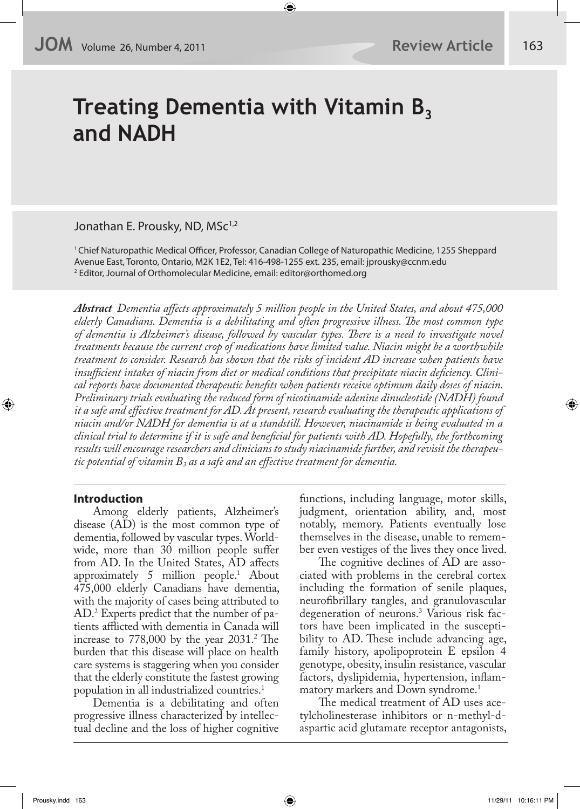# **Treating Dementia with Vitamin B**<sub>3</sub> **and NADH**

# Jonathan E. Prousky, ND, MSc<sup>1,2</sup>

<sup>1</sup> Chief Naturopathic Medical Officer, Professor, Canadian College of Naturopathic Medicine, 1255 Sheppard Avenue East, Toronto, Ontario, M2K 1E2, Tel: 416-498-1255 ext. 235, email: jprousky@ccnm.edu 2 Editor, Journal of Orthomolecular Medicine, email: editor@orthomed.org

*Abstract Dementia a!ects approximately 5 million people in the United States, and about 475,000 elderly Canadians. Dementia is a debilitating and often progressive illness. "e most common type of dementia is Alzheimer's disease, followed by vascular types. "ere is a need to investigate novel treatments because the current crop of medications have limited value. Niacin might be a worthwhile treatment to consider. Research has shown that the risks of incident AD increase when patients have insu#cient intakes of niacin from diet or medical conditions that precipitate niacin de\$ciency. Clinical reports have documented therapeutic bene\$ts when patients receive optimum daily doses of niacin. Preliminary trials evaluating the reduced form of nicotinamide adenine dinucleotide (NADH) found it a safe and e!ective treatment for AD. At present, research evaluating the therapeutic applications of niacin and/or NADH for dementia is at a standstill. However, niacinamide is being evaluated in a clinical trial to determine if it is safe and bene\$cial for patients with AD. Hopefully, the forthcoming results will encourage researchers and clinicians to study niacinamide further, and revisit the therapeutic potential of vitamin B3 as a safe and an e!ective treatment for dementia.*

#### **Introduction**

Among elderly patients, Alzheimer's disease (AD) is the most common type of dementia, followed by vascular types. Worldwide, more than 30 million people suffer from AD. In the United States, AD affects approximately 5 million people.1 About 475,000 elderly Canadians have dementia, with the majority of cases being attributed to AD.2 Experts predict that the number of patients afflicted with dementia in Canada will increase to  $778,000$  by the year  $2031.<sup>2</sup>$  The burden that this disease will place on health care systems is staggering when you consider that the elderly constitute the fastest growing population in all industrialized countries.1

Dementia is a debilitating and often progressive illness characterized by intellectual decline and the loss of higher cognitive functions, including language, motor skills, judgment, orientation ability, and, most notably, memory. Patients eventually lose themselves in the disease, unable to remember even vestiges of the lives they once lived.

The cognitive declines of AD are associated with problems in the cerebral cortex including the formation of senile plaques, neurofibrillary tangles, and granulovascular degeneration of neurons.3 Various risk factors have been implicated in the susceptibility to AD. These include advancing age, family history, apolipoprotein E epsilon 4 genotype, obesity, insulin resistance, vascular factors, dyslipidemia, hypertension, inflammatory markers and Down syndrome.<sup>1</sup>

The medical treatment of AD uses acetylcholinesterase inhibitors or n-methyl-daspartic acid glutamate receptor antagonists,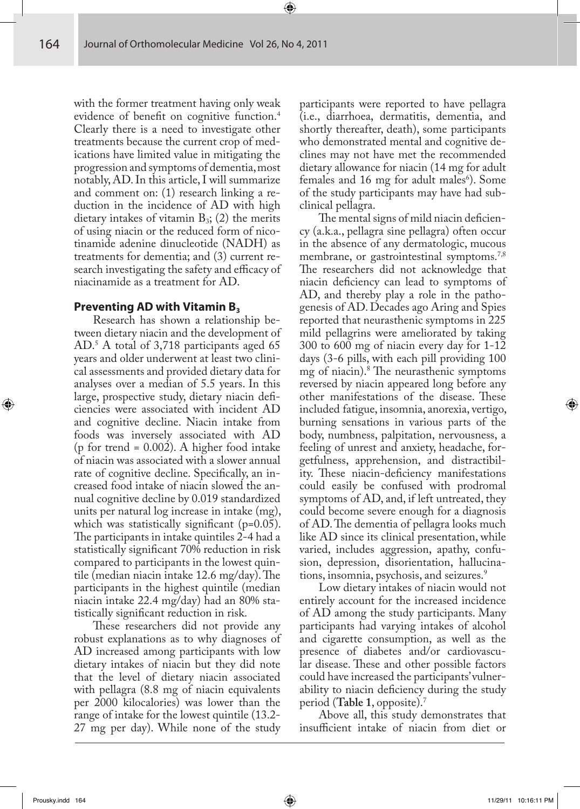with the former treatment having only weak evidence of benefit on cognitive function.<sup>4</sup> Clearly there is a need to investigate other treatments because the current crop of medications have limited value in mitigating the progression and symptoms of dementia, most notably, AD. In this article, I will summarize and comment on: (1) research linking a reduction in the incidence of AD with high dietary intakes of vitamin  $B_3$ ; (2) the merits of using niacin or the reduced form of nicotinamide adenine dinucleotide (NADH) as treatments for dementia; and (3) current research investigating the safety and efficacy of niacinamide as a treatment for AD.

#### **Preventing AD with Vitamin B**<sub>3</sub>

Research has shown a relationship between dietary niacin and the development of AD.5 A total of 3,718 participants aged 65 years and older underwent at least two clinical assessments and provided dietary data for analyses over a median of 5.5 years. In this large, prospective study, dietary niacin deficiencies were associated with incident AD and cognitive decline. Niacin intake from foods was inversely associated with AD (p for trend =  $0.002$ ). A higher food intake of niacin was associated with a slower annual rate of cognitive decline. Specifically, an increased food intake of niacin slowed the annual cognitive decline by 0.019 standardized units per natural log increase in intake (mg), which was statistically significant ( $p=0.05$ ). The participants in intake quintiles 2-4 had a statistically significant 70% reduction in risk compared to participants in the lowest quintile (median niacin intake  $12.6 \text{ mg/day}$ ). The participants in the highest quintile (median niacin intake 22.4 mg/day) had an 80% statistically significant reduction in risk.

These researchers did not provide any robust explanations as to why diagnoses of AD increased among participants with low dietary intakes of niacin but they did note that the level of dietary niacin associated with pellagra (8.8 mg of niacin equivalents per 2000 kilocalories) was lower than the range of intake for the lowest quintile (13.2- 27 mg per day). While none of the study

participants were reported to have pellagra (i.e., diarrhoea, dermatitis, dementia, and shortly thereafter, death), some participants who demonstrated mental and cognitive declines may not have met the recommended dietary allowance for niacin (14 mg for adult females and 16 mg for adult males<sup>6</sup>). Some of the study participants may have had subclinical pellagra.

The mental signs of mild niacin deficiency (a.k.a., pellagra sine pellagra) often occur in the absence of any dermatologic, mucous membrane, or gastrointestinal symptoms.<sup>7,8</sup> The researchers did not acknowledge that niacin deficiency can lead to symptoms of AD, and thereby play a role in the pathogenesis of AD. Decades ago Aring and Spies reported that neurasthenic symptoms in 225 mild pellagrins were ameliorated by taking 300 to 600 mg of niacin every day for 1-12 days (3-6 pills, with each pill providing 100 mg of niacin).<sup>8</sup> The neurasthenic symptoms reversed by niacin appeared long before any other manifestations of the disease. These included fatigue, insomnia, anorexia, vertigo, burning sensations in various parts of the body, numbness, palpitation, nervousness, a feeling of unrest and anxiety, headache, forgetfulness, apprehension, and distractibility. These niacin-deficiency manifestations could easily be confused with prodromal symptoms of AD, and, if left untreated, they could become severe enough for a diagnosis of AD. The dementia of pellagra looks much like AD since its clinical presentation, while varied, includes aggression, apathy, confusion, depression, disorientation, hallucinations, insomnia, psychosis, and seizures.<sup>9</sup>

Low dietary intakes of niacin would not entirely account for the increased incidence of AD among the study participants. Many participants had varying intakes of alcohol and cigarette consumption, as well as the presence of diabetes and/or cardiovascular disease. These and other possible factors could have increased the participants' vulnerability to niacin deficiency during the study period (**Table 1**, opposite).7

Above all, this study demonstrates that insufficient intake of niacin from diet or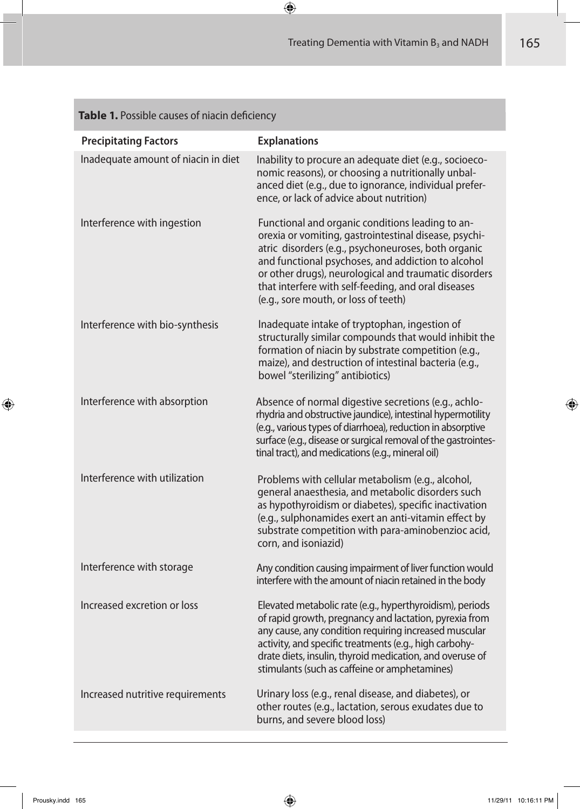| <b>Precipitating Factors</b>        | <b>Explanations</b>                                                                                                                                                                                                                                                                                                                                                            |
|-------------------------------------|--------------------------------------------------------------------------------------------------------------------------------------------------------------------------------------------------------------------------------------------------------------------------------------------------------------------------------------------------------------------------------|
| Inadequate amount of niacin in diet | Inability to procure an adequate diet (e.g., socioeco-<br>nomic reasons), or choosing a nutritionally unbal-<br>anced diet (e.g., due to ignorance, individual prefer-<br>ence, or lack of advice about nutrition)                                                                                                                                                             |
| Interference with ingestion         | Functional and organic conditions leading to an-<br>orexia or vomiting, gastrointestinal disease, psychi-<br>atric disorders (e.g., psychoneuroses, both organic<br>and functional psychoses, and addiction to alcohol<br>or other drugs), neurological and traumatic disorders<br>that interfere with self-feeding, and oral diseases<br>(e.g., sore mouth, or loss of teeth) |
| Interference with bio-synthesis     | Inadequate intake of tryptophan, ingestion of<br>structurally similar compounds that would inhibit the<br>formation of niacin by substrate competition (e.g.,<br>maize), and destruction of intestinal bacteria (e.g.,<br>bowel "sterilizing" antibiotics)                                                                                                                     |
| Interference with absorption        | Absence of normal digestive secretions (e.g., achlo-<br>rhydria and obstructive jaundice), intestinal hypermotility<br>(e.g., various types of diarrhoea), reduction in absorptive<br>surface (e.g., disease or surgical removal of the gastrointes-<br>tinal tract), and medications (e.g., mineral oil)                                                                      |
| Interference with utilization       | Problems with cellular metabolism (e.g., alcohol,<br>general anaesthesia, and metabolic disorders such<br>as hypothyroidism or diabetes), specific inactivation<br>(e.g., sulphonamides exert an anti-vitamin effect by<br>substrate competition with para-aminobenzioc acid,<br>corn, and isoniazid)                                                                          |
| Interference with storage           | Any condition causing impairment of liver function would<br>interfere with the amount of niacin retained in the body                                                                                                                                                                                                                                                           |
| Increased excretion or loss         | Elevated metabolic rate (e.g., hyperthyroidism), periods<br>of rapid growth, pregnancy and lactation, pyrexia from<br>any cause, any condition requiring increased muscular<br>activity, and specific treatments (e.g., high carbohy-<br>drate diets, insulin, thyroid medication, and overuse of<br>stimulants (such as caffeine or amphetamines)                             |
| Increased nutritive requirements    | Urinary loss (e.g., renal disease, and diabetes), or<br>other routes (e.g., lactation, serous exudates due to<br>burns, and severe blood loss)                                                                                                                                                                                                                                 |

# **Table 1.** Possible causes of niacin deficiency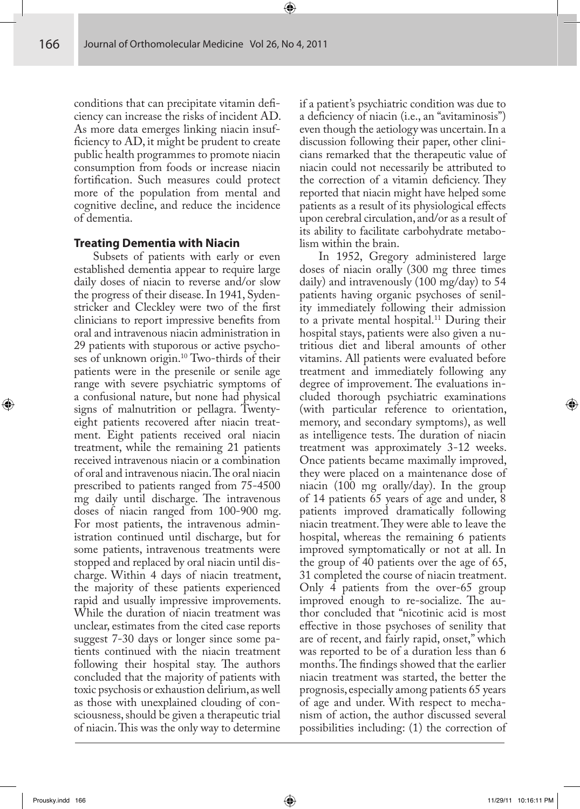conditions that can precipitate vitamin deficiency can increase the risks of incident AD. As more data emerges linking niacin insuf ficiency to AD, it might be prudent to create public health programmes to promote niacin consumption from foods or increase niacin fortification. Such measures could protect more of the population from mental and cognitive decline, and reduce the incidence of dementia.

#### **Treating Dementia with Niacin**

Subsets of patients with early or even established dementia appear to require large daily doses of niacin to reverse and/or slow the progress of their disease. In 1941, Sydenstricker and Cleckley were two of the first clinicians to report impressive benefits from oral and intravenous niacin administration in 29 patients with stuporous or active psychoses of unknown origin.10 Two-thirds of their patients were in the presenile or senile age range with severe psychiatric symptoms of a confusional nature, but none had physical signs of malnutrition or pellagra. Twentyeight patients recovered after niacin treatment. Eight patients received oral niacin treatment, while the remaining 21 patients received intravenous niacin or a combination of oral and intravenous niacin. The oral niacin prescribed to patients ranged from 75-4500 mg daily until discharge. The intravenous doses of niacin ranged from 100-900 mg. For most patients, the intravenous administration continued until discharge, but for some patients, intravenous treatments were stopped and replaced by oral niacin until discharge. Within 4 days of niacin treatment, the majority of these patients experienced rapid and usually impressive improvements. While the duration of niacin treatment was unclear, estimates from the cited case reports suggest 7-30 days or longer since some patients continued with the niacin treatment following their hospital stay. The authors concluded that the majority of patients with toxic psychosis or exhaustion delirium, as well as those with unexplained clouding of consciousness, should be given a therapeutic trial of niacin. This was the only way to determine

if a patient's psychiatric condition was due to a deficiency of niacin (i.e., an "avitaminosis") even though the aetiology was uncertain. In a discussion following their paper, other clinicians remarked that the therapeutic value of niacin could not necessarily be attributed to the correction of a vitamin deficiency. They reported that niacin might have helped some patients as a result of its physiological effects upon cerebral circulation, and/or as a result of its ability to facilitate carbohydrate metabolism within the brain.

In 1952, Gregory administered large doses of niacin orally (300 mg three times daily) and intravenously (100 mg/day) to 54 patients having organic psychoses of senility immediately following their admission to a private mental hospital.<sup>11</sup> During their hospital stays, patients were also given a nutritious diet and liberal amounts of other vitamins. All patients were evaluated before treatment and immediately following any degree of improvement. The evaluations included thorough psychiatric examinations (with particular reference to orientation, memory, and secondary symptoms), as well as intelligence tests. The duration of niacin treatment was approximately 3-12 weeks. Once patients became maximally improved, they were placed on a maintenance dose of niacin (100 mg orally/day). In the group of 14 patients 65 years of age and under, 8 patients improved dramatically following niacin treatment. They were able to leave the hospital, whereas the remaining 6 patients improved symptomatically or not at all. In the group of 40 patients over the age of 65, 31 completed the course of niacin treatment. Only 4 patients from the over-65 group improved enough to re-socialize. The author concluded that "nicotinic acid is most effective in those psychoses of senility that are of recent, and fairly rapid, onset," which was reported to be of a duration less than 6 months. The findings showed that the earlier niacin treatment was started, the better the prognosis, especially among patients 65 years of age and under. With respect to mechanism of action, the author discussed several possibilities including: (1) the correction of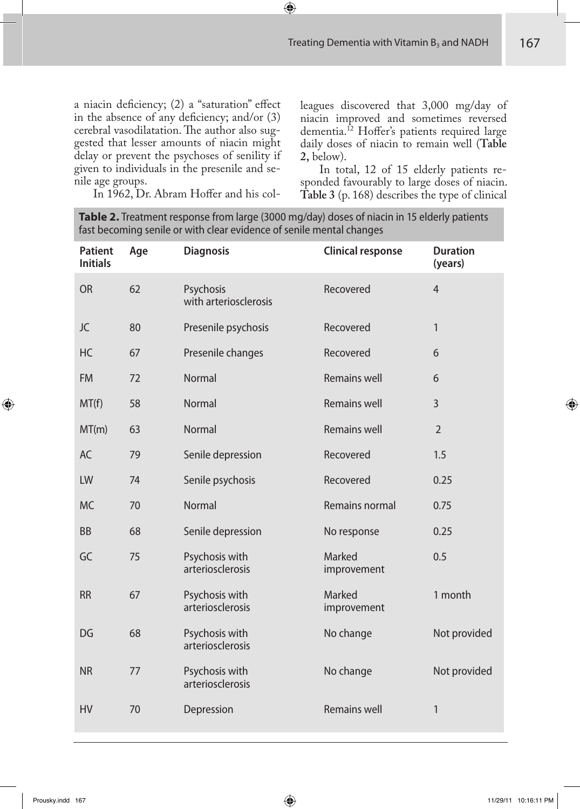a niacin deficiency;  $(2)$  a "saturation" effect in the absence of any deficiency; and/or  $(3)$ cerebral vasodilatation. The author also suggested that lesser amounts of niacin might delay or prevent the psychoses of senility if given to individuals in the presenile and senile age groups.

In 1962, Dr. Abram Hoffer and his col-

leagues discovered that 3,000 mg/day of niacin improved and sometimes reversed dementia.<sup>12</sup> Hoffer's patients required large daily doses of niacin to remain well (**Table 2,** below).

In total, 12 of 15 elderly patients responded favourably to large doses of niacin. **Table 3** (p. 168) describes the type of clinical

**Table 2.** Treatment response from large (3000 mg/day) doses of niacin in 15 elderly patients fast becoming senile or with clear evidence of senile mental changes

| <b>Patient</b><br><b>Initials</b> | Age | <b>Diagnosis</b>                   | <b>Clinical response</b> | <b>Duration</b><br>(years) |
|-----------------------------------|-----|------------------------------------|--------------------------|----------------------------|
| <b>OR</b>                         | 62  | Psychosis<br>with arteriosclerosis | Recovered                | $\overline{4}$             |
| JC                                | 80  | Presenile psychosis                | Recovered                | 1                          |
| HC                                | 67  | Presenile changes                  | Recovered                | 6                          |
| <b>FM</b>                         | 72  | <b>Normal</b>                      | <b>Remains well</b>      | 6                          |
| MT(f)                             | 58  | Normal                             | <b>Remains well</b>      | 3                          |
| MT(m)                             | 63  | Normal                             | <b>Remains well</b>      | $\overline{2}$             |
| AC                                | 79  | Senile depression                  | Recovered                | 1.5                        |
| LW                                | 74  | Senile psychosis                   | Recovered                | 0.25                       |
| <b>MC</b>                         | 70  | Normal                             | Remains normal           | 0.75                       |
| <b>BB</b>                         | 68  | Senile depression                  | No response              | 0.25                       |
| GC                                | 75  | Psychosis with<br>arteriosclerosis | Marked<br>improvement    | 0.5                        |
| <b>RR</b>                         | 67  | Psychosis with<br>arteriosclerosis | Marked<br>improvement    | 1 month                    |
| DG                                | 68  | Psychosis with<br>arteriosclerosis | No change                | Not provided               |
| <b>NR</b>                         | 77  | Psychosis with<br>arteriosclerosis | No change                | Not provided               |
| <b>HV</b>                         | 70  | Depression                         | <b>Remains well</b>      | 1                          |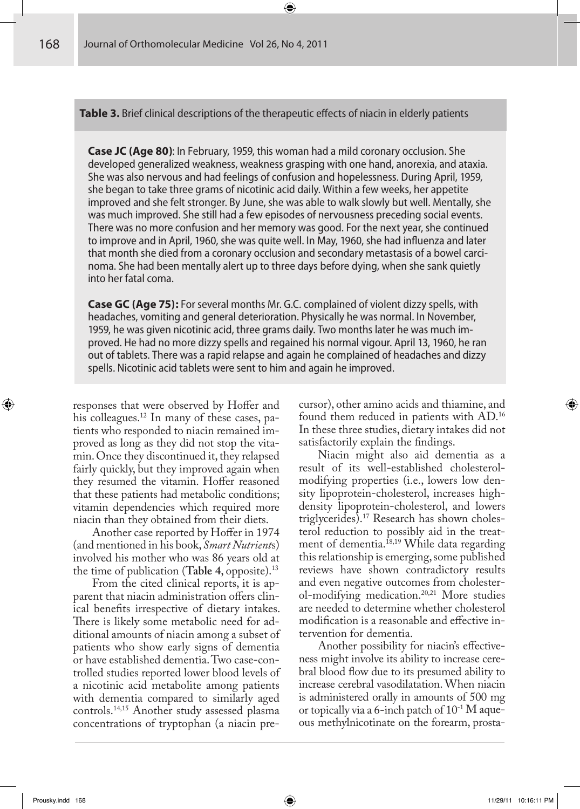**Table 3.** Brief clinical descriptions of the therapeutic effects of niacin in elderly patients

**Case JC (Age 80)**: In February, 1959, this woman had a mild coronary occlusion. She developed generalized weakness, weakness grasping with one hand, anorexia, and ataxia. She was also nervous and had feelings of confusion and hopelessness. During April, 1959, she began to take three grams of nicotinic acid daily. Within a few weeks, her appetite improved and she felt stronger. By June, she was able to walk slowly but well. Mentally, she was much improved. She still had a few episodes of nervousness preceding social events. There was no more confusion and her memory was good. For the next year, she continued to improve and in April, 1960, she was quite well. In May, 1960, she had influenza and later that month she died from a coronary occlusion and secondary metastasis of a bowel carcinoma. She had been mentally alert up to three days before dying, when she sank quietly into her fatal coma.

**Case GC (Age 75):** For several months Mr. G.C. complained of violent dizzy spells, with headaches, vomiting and general deterioration. Physically he was normal. In November, 1959, he was given nicotinic acid, three grams daily. Two months later he was much improved. He had no more dizzy spells and regained his normal vigour. April 13, 1960, he ran out of tablets. There was a rapid relapse and again he complained of headaches and dizzy spells. Nicotinic acid tablets were sent to him and again he improved.

responses that were observed by Hoffer and his colleagues.12 In many of these cases, patients who responded to niacin remained improved as long as they did not stop the vitamin. Once they discontinued it, they relapsed fairly quickly, but they improved again when they resumed the vitamin. Hoffer reasoned that these patients had metabolic conditions; vitamin dependencies which required more niacin than they obtained from their diets.

Another case reported by Hoffer in 1974 (and mentioned in his book, *Smart Nutrient*s) involved his mother who was 86 years old at the time of publication (**Table 4**, opposite).13

From the cited clinical reports, it is apparent that niacin administration offers clinical benefits irrespective of dietary intakes. There is likely some metabolic need for additional amounts of niacin among a subset of patients who show early signs of dementia or have established dementia. Two case-controlled studies reported lower blood levels of a nicotinic acid metabolite among patients with dementia compared to similarly aged controls.14,15 Another study assessed plasma concentrations of tryptophan (a niacin precursor), other amino acids and thiamine, and found them reduced in patients with AD.16 In these three studies, dietary intakes did not satisfactorily explain the findings.

Niacin might also aid dementia as a result of its well-established cholesterolmodifying properties (i.e., lowers low density lipoprotein-cholesterol, increases highdensity lipoprotein-cholesterol, and lowers triglycerides).17 Research has shown cholesterol reduction to possibly aid in the treatment of dementia.18,19 While data regarding this relationship is emerging, some published reviews have shown contradictory results and even negative outcomes from cholesterol-modifying medication.20,21 More studies are needed to determine whether cholesterol modification is a reasonable and effective intervention for dementia.

Another possibility for niacin's effectiveness might involve its ability to increase cerebral blood flow due to its presumed ability to increase cerebral vasodilatation. When niacin is administered orally in amounts of 500 mg or topically via a 6-inch patch of  $10^{-1}$  M aqueous methylnicotinate on the forearm, prosta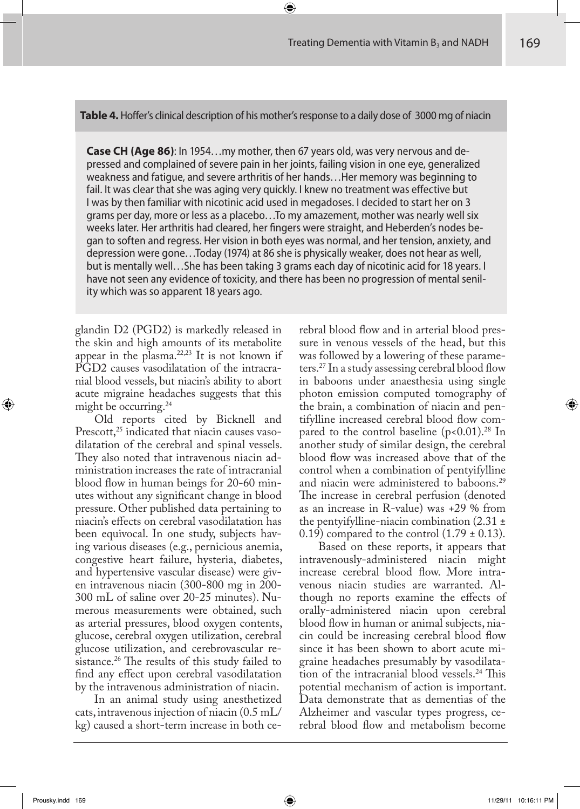**Table 4.** Hoffer's clinical description of his mother's response to a daily dose of 3000 mg of niacin

**Case CH (Age 86)**: In 1954…my mother, then 67 years old, was very nervous and depressed and complained of severe pain in her joints, failing vision in one eye, generalized weakness and fatigue, and severe arthritis of her hands…Her memory was beginning to fail. It was clear that she was aging very quickly. I knew no treatment was effective but I was by then familiar with nicotinic acid used in megadoses. I decided to start her on 3 grams per day, more or less as a placebo…To my amazement, mother was nearly well six weeks later. Her arthritis had cleared, her fingers were straight, and Heberden's nodes began to soften and regress. Her vision in both eyes was normal, and her tension, anxiety, and depression were gone…Today (1974) at 86 she is physically weaker, does not hear as well, but is mentally well…She has been taking 3 grams each day of nicotinic acid for 18 years. I have not seen any evidence of toxicity, and there has been no progression of mental senility which was so apparent 18 years ago.

glandin D2 (PGD2) is markedly released in the skin and high amounts of its metabolite appear in the plasma. $22,23$  It is not known if PGD2 causes vasodilatation of the intracranial blood vessels, but niacin's ability to abort acute migraine headaches suggests that this might be occurring.<sup>24</sup>

Old reports cited by Bicknell and Prescott,<sup>25</sup> indicated that niacin causes vasodilatation of the cerebral and spinal vessels. They also noted that intravenous niacin administration increases the rate of intracranial blood flow in human beings for 20-60 minutes without any significant change in blood pressure. Other published data pertaining to niacin's effects on cerebral vasodilatation has been equivocal. In one study, subjects having various diseases (e.g., pernicious anemia, congestive heart failure, hysteria, diabetes, and hypertensive vascular disease) were given intravenous niacin (300-800 mg in 200- 300 mL of saline over 20-25 minutes). Numerous measurements were obtained, such as arterial pressures, blood oxygen contents, glucose, cerebral oxygen utilization, cerebral glucose utilization, and cerebrovascular resistance.<sup>26</sup> The results of this study failed to find any effect upon cerebral vasodilatation by the intravenous administration of niacin.

In an animal study using anesthetized cats, intravenous injection of niacin (0.5 mL/ kg) caused a short-term increase in both cerebral blood flow and in arterial blood pressure in venous vessels of the head, but this was followed by a lowering of these parameters.<sup>27</sup> In a study assessing cerebral blood flow in baboons under anaesthesia using single photon emission computed tomography of the brain, a combination of niacin and pentifylline increased cerebral blood flow compared to the control baseline  $(p<0.01)$ .<sup>28</sup> In another study of similar design, the cerebral blood flow was increased above that of the control when a combination of pentyifylline and niacin were administered to baboons.<sup>29</sup> The increase in cerebral perfusion (denoted as an increase in R-value) was +29 % from the pentyifylline-niacin combination  $(2.31 \pm$ 0.19) compared to the control  $(1.79 \pm 0.13)$ .

Based on these reports, it appears that intravenously-administered niacin might increase cerebral blood flow. More intravenous niacin studies are warranted. Although no reports examine the effects of orally-administered niacin upon cerebral blood flow in human or animal subjects, niacin could be increasing cerebral blood flow since it has been shown to abort acute migraine headaches presumably by vasodilatation of the intracranial blood vessels.<sup>24</sup> This potential mechanism of action is important. Data demonstrate that as dementias of the Alzheimer and vascular types progress, cerebral blood flow and metabolism become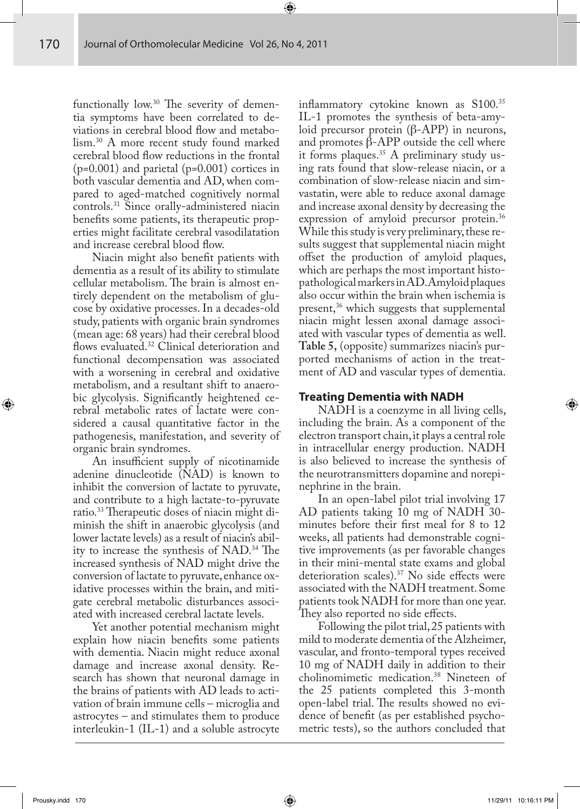functionally low. $30$  The severity of dementia symptoms have been correlated to deviations in cerebral blood flow and metabolism.30 A more recent study found marked cerebral blood flow reductions in the frontal  $(p=0.001)$  and parietal  $(p=0.001)$  cortices in both vascular dementia and AD, when compared to aged-matched cognitively normal controls.31 Since orally-administered niacin benefits some patients, its therapeutic properties might facilitate cerebral vasodilatation and increase cerebral blood flow.

Niacin might also benefit patients with dementia as a result of its ability to stimulate cellular metabolism. The brain is almost entirely dependent on the metabolism of glucose by oxidative processes. In a decades-old study, patients with organic brain syndromes (mean age: 68 years) had their cerebral blood flows evaluated.<sup>32</sup> Clinical deterioration and functional decompensation was associated with a worsening in cerebral and oxidative metabolism, and a resultant shift to anaerobic glycolysis. Significantly heightened cerebral metabolic rates of lactate were considered a causal quantitative factor in the pathogenesis, manifestation, and severity of organic brain syndromes.

An insufficient supply of nicotinamide adenine dinucleotide (NAD) is known to inhibit the conversion of lactate to pyruvate, and contribute to a high lactate-to-pyruvate ratio.<sup>33</sup> Therapeutic doses of niacin might diminish the shift in anaerobic glycolysis (and lower lactate levels) as a result of niacin's ability to increase the synthesis of  $NAD$ .<sup>34</sup> The increased synthesis of NAD might drive the conversion of lactate to pyruvate, enhance oxidative processes within the brain, and mitigate cerebral metabolic disturbances associated with increased cerebral lactate levels.

Yet another potential mechanism might explain how niacin benefits some patients with dementia. Niacin might reduce axonal damage and increase axonal density. Research has shown that neuronal damage in the brains of patients with AD leads to activation of brain immune cells – microglia and astrocytes – and stimulates them to produce interleukin-1 (IL-1) and a soluble astrocyte inflammatory cytokine known as S100.35 IL-1 promotes the synthesis of beta-amyloid precursor protein (β-APP) in neurons, and promotes  $β$ -APP outside the cell where it forms plaques.35 A preliminary study using rats found that slow-release niacin, or a combination of slow-release niacin and simvastatin, were able to reduce axonal damage and increase axonal density by decreasing the expression of amyloid precursor protein.36 While this study is very preliminary, these results suggest that supplemental niacin might offset the production of amyloid plaques, which are perhaps the most important histopathological markers in AD. Amyloid plaques also occur within the brain when ischemia is present,36 which suggests that supplemental niacin might lessen axonal damage associated with vascular types of dementia as well. **Table 5,** (opposite) summarizes niacin's purported mechanisms of action in the treatment of AD and vascular types of dementia.

# **Treating Dementia with NADH**

NADH is a coenzyme in all living cells, including the brain. As a component of the electron transport chain, it plays a central role in intracellular energy production. NADH is also believed to increase the synthesis of the neurotransmitters dopamine and norepinephrine in the brain.

In an open-label pilot trial involving 17 AD patients taking 10 mg of NADH 30 minutes before their first meal for 8 to 12 weeks, all patients had demonstrable cognitive improvements (as per favorable changes in their mini-mental state exams and global deterioration scales).<sup>37</sup> No side effects were associated with the NADH treatment. Some patients took NADH for more than one year. They also reported no side effects.

Following the pilot trial, 25 patients with mild to moderate dementia of the Alzheimer, vascular, and fronto-temporal types received 10 mg of NADH daily in addition to their cholinomimetic medication.38 Nineteen of the 25 patients completed this 3-month open-label trial. The results showed no evidence of benefit (as per established psychometric tests), so the authors concluded that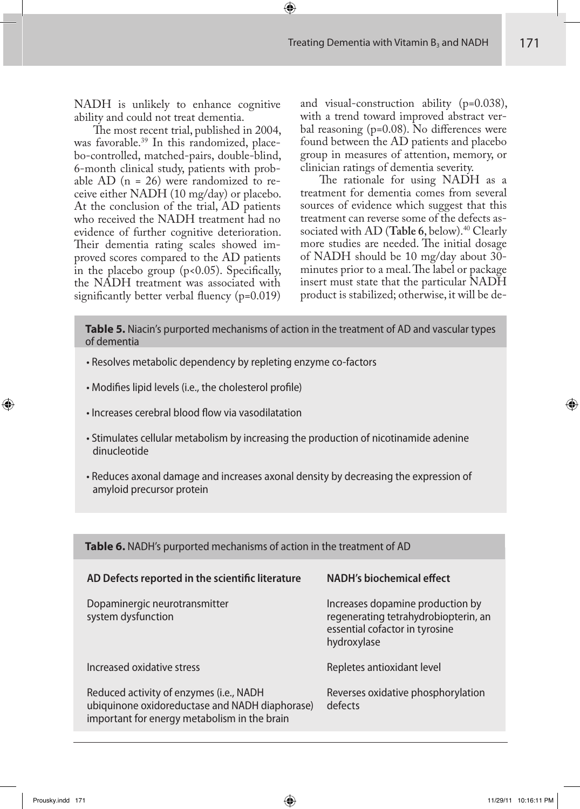NADH is unlikely to enhance cognitive ability and could not treat dementia.

The most recent trial, published in 2004, was favorable.<sup>39</sup> In this randomized, placebo-controlled, matched-pairs, double-blind, 6-month clinical study, patients with probable AD  $(n = 26)$  were randomized to receive either NADH (10 mg/day) or placebo. At the conclusion of the trial, AD patients who received the NADH treatment had no evidence of further cognitive deterioration. Their dementia rating scales showed improved scores compared to the AD patients in the placebo group  $(p<0.05)$ . Specifically, the NADH treatment was associated with significantly better verbal fluency  $(p=0.019)$  and visual-construction ability (p=0.038), with a trend toward improved abstract verbal reasoning ( $p=0.08$ ). No differences were found between the AD patients and placebo group in measures of attention, memory, or clinician ratings of dementia severity.

The rationale for using NADH as a treatment for dementia comes from several sources of evidence which suggest that this treatment can reverse some of the defects associated with AD (Table 6, below).<sup>40</sup> Clearly more studies are needed. The initial dosage of NADH should be 10 mg/day about 30 minutes prior to a meal. The label or package insert must state that the particular NADH product is stabilized; otherwise, it will be de-

**Table 5.** Niacin's purported mechanisms of action in the treatment of AD and vascular types of dementia

- Resolves metabolic dependency by repleting enzyme co-factors
- Modifies lipid levels (i.e., the cholesterol profile)
- Increases cerebral blood flow via vasodilatation
- Stimulates cellular metabolism by increasing the production of nicotinamide adenine dinucleotide
- Reduces axonal damage and increases axonal density by decreasing the expression of amyloid precursor protein

| Table 6. NADH's purported mechanisms of action in the treatment of AD                                                                     |                                                                                                                           |  |  |
|-------------------------------------------------------------------------------------------------------------------------------------------|---------------------------------------------------------------------------------------------------------------------------|--|--|
| AD Defects reported in the scientific literature                                                                                          | NADH's biochemical effect                                                                                                 |  |  |
| Dopaminergic neurotransmitter<br>system dysfunction                                                                                       | Increases dopamine production by<br>regenerating tetrahydrobiopterin, an<br>essential cofactor in tyrosine<br>hydroxylase |  |  |
| Increased oxidative stress                                                                                                                | Repletes antioxidant level                                                                                                |  |  |
| Reduced activity of enzymes (i.e., NADH<br>ubiquinone oxidoreductase and NADH diaphorase)<br>important for energy metabolism in the brain | Reverses oxidative phosphorylation<br>defects                                                                             |  |  |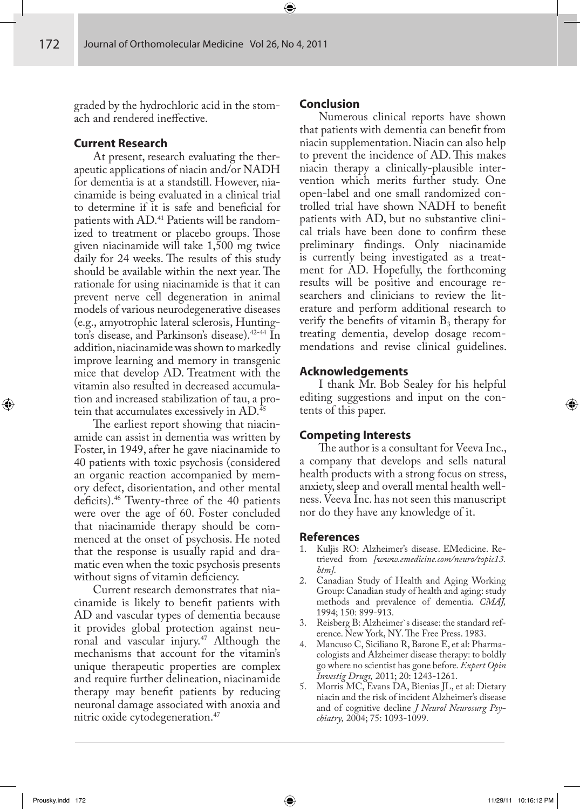graded by the hydrochloric acid in the stomach and rendered ineffective.

#### **Current Research**

At present, research evaluating the therapeutic applications of niacin and/or NADH for dementia is at a standstill. However, niacinamide is being evaluated in a clinical trial to determine if it is safe and beneficial for patients with AD.41 Patients will be randomized to treatment or placebo groups. Those given niacinamide will take 1,500 mg twice daily for 24 weeks. The results of this study should be available within the next year. The rationale for using niacinamide is that it can prevent nerve cell degeneration in animal models of various neurodegenerative diseases (e.g., amyotrophic lateral sclerosis, Huntington's disease, and Parkinson's disease).<sup>42-44</sup> In addition, niacinamide was shown to markedly improve learning and memory in transgenic mice that develop AD. Treatment with the vitamin also resulted in decreased accumulation and increased stabilization of tau, a protein that accumulates excessively in AD.<sup>45</sup>

The earliest report showing that niacinamide can assist in dementia was written by Foster, in 1949, after he gave niacinamide to 40 patients with toxic psychosis (considered an organic reaction accompanied by memory defect, disorientation, and other mental deficits).<sup>46</sup> Twenty-three of the 40 patients were over the age of 60. Foster concluded that niacinamide therapy should be commenced at the onset of psychosis. He noted that the response is usually rapid and dramatic even when the toxic psychosis presents without signs of vitamin deficiency.

Current research demonstrates that niacinamide is likely to benefit patients with AD and vascular types of dementia because it provides global protection against neuronal and vascular injury.<sup>47</sup> Although the mechanisms that account for the vitamin's unique therapeutic properties are complex and require further delineation, niacinamide therapy may benefit patients by reducing neuronal damage associated with anoxia and nitric oxide cytodegeneration.<sup>47</sup>

# **Conclusion**

Numerous clinical reports have shown that patients with dementia can benefit from niacin supplementation. Niacin can also help to prevent the incidence of AD. This makes niacin therapy a clinically-plausible intervention which merits further study. One open-label and one small randomized controlled trial have shown NADH to benefit patients with AD, but no substantive clinical trials have been done to confirm these preliminary findings. Only niacinamide is currently being investigated as a treatment for AD. Hopefully, the forthcoming results will be positive and encourage researchers and clinicians to review the literature and perform additional research to verify the benefits of vitamin  $B_3$  therapy for treating dementia, develop dosage recommendations and revise clinical guidelines.

#### **Acknowledgements**

I thank Mr. Bob Sealey for his helpful editing suggestions and input on the contents of this paper.

#### **Competing Interests**

The author is a consultant for Veeva Inc., a company that develops and sells natural health products with a strong focus on stress, anxiety, sleep and overall mental health wellness. Veeva Inc. has not seen this manuscript nor do they have any knowledge of it.

#### **References**

- 1. Kuljis RO: Alzheimer's disease. EMedicine. Retrieved from *[www.emedicine.com/neuro/topic13. htm].*
- 2. Canadian Study of Health and Aging Working Group: Canadian study of health and aging: study methods and prevalence of dementia. *CMAJ,* 1994; 150: 899-913.
- 3. Reisberg B: Alzheimer`s disease: the standard reference. New York, NY. The Free Press. 1983.
- 4. Mancuso C, Siciliano R, Barone E, et al: Pharmacologists and Alzheimer disease therapy: to boldly go where no scientist has gone before. *Expert Opin Investig Drugs,* 2011; 20: 1243-1261.
- 5. Morris MC, Evans DA, Bienias JL, et al: Dietary niacin and the risk of incident Alzheimer's disease and of cognitive decline *J Neurol Neurosurg Psychiatry,* 2004; 75: 1093-1099.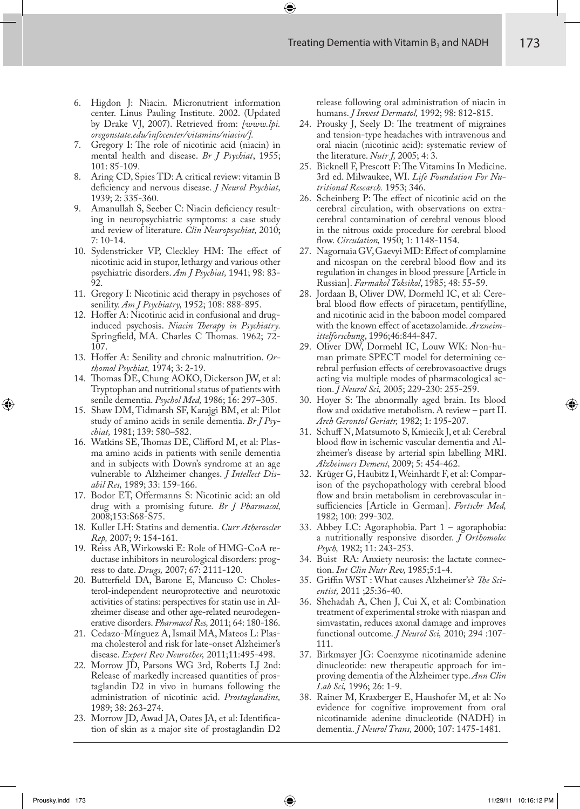- 6. Higdon J: Niacin. Micronutrient information center. Linus Pauling Institute. 2002. (Updated by Drake VJ, 2007). Retrieved from: *[www.lpi. oregonstate.edu/infocenter/vitamins/niacin/].*
- 7. Gregory I: The role of nicotinic acid (niacin) in mental health and disease. *Br J Psychiat*, 1955; 101: 85-109.
- 8. Aring CD, Spies TD: A critical review: vitamin B deficiency and nervous disease. *J Neurol Psychiat*, 1939; 2: 335-360.
- Amanullah S, Seeber C: Niacin deficiency resulting in neuropsychiatric symptoms: a case study and review of literature. *Clin Neuropsychiat,* 2010; 7: 10-14.
- 10. Sydenstricker VP, Cleckley HM: The effect of nicotinic acid in stupor, lethargy and various other psychiatric disorders. *Am J Psychiat,* 1941; 98: 83- 92.
- 11. Gregory I: Nicotinic acid therapy in psychoses of senility. *Am J Psychiatry,* 1952; 108: 888-895.
- 12. Hoffer A: Nicotinic acid in confusional and druginduced psychosis. *Niacin Therapy in Psychiatry*. Springfield, MA. Charles C Thomas. 1962; 72-107.
- 13. Hoffer A: Senility and chronic malnutrition. Or*thomol Psychiat,* 1974; 3: 2-19.
- 14. Thomas DE, Chung AOKO, Dickerson JW, et al: Tryptophan and nutritional status of patients with senile dementia. *Psychol Med,* 1986; 16: 297–305.
- 15. Shaw DM, Tidmarsh SF, Karajgi BM, et al: Pilot study of amino acids in senile dementia. *Br J Psychiat,* 1981; 139: 580–582.
- 16. Watkins SE, Thomas DE, Clifford M, et al: Plasma amino acids in patients with senile dementia and in subjects with Down's syndrome at an age vulnerable to Alzheimer changes. *J Intellect Disabil Res,* 1989; 33: 159-166.
- 17. Bodor ET, Offermanns S: Nicotinic acid: an old drug with a promising future. *Br J Pharmacol,*  2008;153:S68-S75.
- 18. Kuller LH: Statins and dementia. *Curr Atheroscler Rep,* 2007; 9: 154-161.
- 19. Reiss AB, Wirkowski E: Role of HMG-CoA reductase inhibitors in neurological disorders: progress to date. *Drugs,* 2007; 67: 2111-120.
- 20. Butterfield DA, Barone E, Mancuso C: Cholesterol-independent neuroprotective and neurotoxic activities of statins: perspectives for statin use in Alzheimer disease and other age-related neurodegenerative disorders. *Pharmacol Res,* 2011; 64: 180-186.
- 21. Cedazo-Mínguez A, Ismail MA, Mateos L: Plasma cholesterol and risk for late-onset Alzheimer's disease. *Expert Rev Neurother,* 2011;11:495-498.
- 22. Morrow JD, Parsons WG 3rd, Roberts LJ 2nd: Release of markedly increased quantities of prostaglandin D2 in vivo in humans following the administration of nicotinic acid. *Prostaglandins,* 1989; 38: 263-274.
- 23. Morrow JD, Awad JA, Oates JA, et al: Identification of skin as a major site of prostaglandin D2

release following oral administration of niacin in humans. *J Invest Dermatol,* 1992; 98: 812-815.

- 24. Prousky J, Seely D: The treatment of migraines and tension-type headaches with intravenous and oral niacin (nicotinic acid): systematic review of the literature. *Nutr J,* 2005; 4: 3.
- 25. Bicknell F, Prescott F: The Vitamins In Medicine. 3rd ed. Milwaukee, WI. *Life Foundation For Nutritional Research.* 1953; 346.
- 26. Scheinberg P: The effect of nicotinic acid on the cerebral circulation, with observations on extracerebral contamination of cerebral venous blood in the nitrous oxide procedure for cerebral blood %ow. *Circulation,* 1950; 1: 1148-1154.
- 27. Nagornaia GV, Gaevyi MD: Effect of complamine and nicospan on the cerebral blood flow and its regulation in changes in blood pressure [Article in Russian]. *Farmakol Toksikol*, 1985; 48: 55-59.
- 28. Jordaan B, Oliver DW, Dormehl IC, et al: Cerebral blood flow effects of piracetam, pentifylline, and nicotinic acid in the baboon model compared with the known effect of acetazolamide. *Arzneimittelforschung*, 1996;46:844-847.
- 29. Oliver DW, Dormehl IC, Louw WK: Non-human primate SPECT model for determining cerebral perfusion effects of cerebrovasoactive drugs acting via multiple modes of pharmacological action. *J Neurol Sci,* 2005; 229-230: 255-259.
- 30. Hoyer S: The abnormally aged brain. Its blood flow and oxidative metabolism. A review - part II. *Arch Gerontol Geriatr,* 1982; 1: 195-207.
- 31. Schuff N, Matsumoto S, Kmiecik J, et al: Cerebral blood flow in ischemic vascular dementia and Alzheimer's disease by arterial spin labelling MRI. *Alzheimers Dement,* 2009; 5: 454-462.
- 32. Krüger G, Haubitz I, Weinhardt F, et al: Comparison of the psychopathology with cerebral blood flow and brain metabolism in cerebrovascular insufficiencies [Article in German]. Fortschr Med, 1982; 100: 299-302.
- 33. Abbey LC: Agoraphobia. Part 1 agoraphobia: a nutritionally responsive disorder. *J Orthomolec Psych,* 1982; 11: 243-253.
- 34. Buist RA: Anxiety neurosis: the lactate connection. *Int Clin Nutr Rev,* 1985;5:1-4.
- 35. Griffin WST : What causes Alzheimer's? *The Scientist,* 2011 ;25:36-40.
- 36. Shehadah A, Chen J, Cui X, et al: Combination treatment of experimental stroke with niaspan and simvastatin, reduces axonal damage and improves functional outcome. *J Neurol Sci,* 2010; 294 :107- 111.
- 37. Birkmayer JG: Coenzyme nicotinamide adenine dinucleotide: new therapeutic approach for improving dementia of the Alzheimer type. *Ann Clin Lab Sci,* 1996; 26: 1-9.
- 38. Rainer M, Kraxberger E, Haushofer M, et al: No evidence for cognitive improvement from oral nicotinamide adenine dinucleotide (NADH) in dementia. *J Neurol Trans,* 2000; 107: 1475-1481.